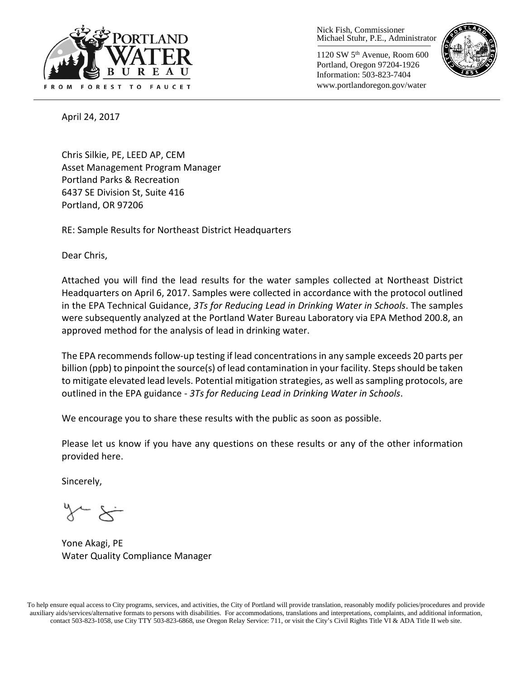

Nick Fish, Commissioner Michael Stuhr, P.E., Administrator

1120 SW 5th Avenue, Room 600 Portland, Oregon 97204-1926 Information: 503-823-7404 www.portlandoregon.gov/water



April 24, 2017

Chris Silkie, PE, LEED AP, CEM Asset Management Program Manager Portland Parks & Recreation 6437 SE Division St, Suite 416 Portland, OR 97206

RE: Sample Results for Northeast District Headquarters

Dear Chris,

Attached you will find the lead results for the water samples collected at Northeast District Headquarters on April 6, 2017. Samples were collected in accordance with the protocol outlined in the EPA Technical Guidance, *3Ts for Reducing Lead in Drinking Water in Schools*. The samples were subsequently analyzed at the Portland Water Bureau Laboratory via EPA Method 200.8, an approved method for the analysis of lead in drinking water.

The EPA recommends follow-up testing if lead concentrations in any sample exceeds 20 parts per billion (ppb) to pinpoint the source(s) of lead contamination in your facility. Steps should be taken to mitigate elevated lead levels. Potential mitigation strategies, as well as sampling protocols, are outlined in the EPA guidance - *3Ts for Reducing Lead in Drinking Water in Schools*.

We encourage you to share these results with the public as soon as possible.

Please let us know if you have any questions on these results or any of the other information provided here.

Sincerely,

Yone Akagi, PE Water Quality Compliance Manager

To help ensure equal access to City programs, services, and activities, the City of Portland will provide translation, reasonably modify policies/procedures and provide auxiliary aids/services/alternative formats to persons with disabilities. For accommodations, translations and interpretations, complaints, and additional information, contact 503-823-1058, use City TTY 503-823-6868, use Oregon Relay Service: 711, or visi[t the City's Civil Rights Title VI & ADA Title II web site.](http://www.portlandoregon.gov/oehr/66458)